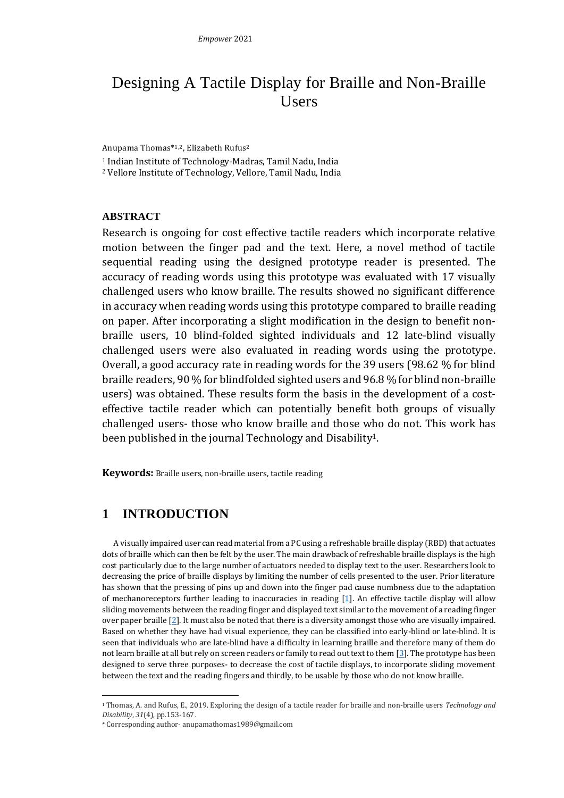# Designing A Tactile Display for Braille and Non-Braille Users

Anupama Thomas\* 1,2, Elizabeth Rufus<sup>2</sup>

<sup>1</sup> Indian Institute of Technology-Madras, Tamil Nadu, India

<sup>2</sup> Vellore Institute of Technology, Vellore, Tamil Nadu, India

#### **ABSTRACT**

Research is ongoing for cost effective tactile readers which incorporate relative motion between the finger pad and the text. Here, a novel method of tactile sequential reading using the designed prototype reader is presented. The accuracy of reading words using this prototype was evaluated with 17 visually challenged users who know braille. The results showed no significant difference in accuracy when reading words using this prototype compared to braille reading on paper. After incorporating a slight modification in the design to benefit nonbraille users, 10 blind-folded sighted individuals and 12 late-blind visually challenged users were also evaluated in reading words using the prototype. Overall, a good accuracy rate in reading words for the 39 users (98.62 % for blind braille readers, 90 % for blindfolded sighted users and 96.8 % for blind non-braille users) was obtained. These results form the basis in the development of a costeffective tactile reader which can potentially benefit both groups of visually challenged users- those who know braille and those who do not. This work has been published in the journal Technology and Disability<sup>1</sup>.

**Keywords:** Braille users, non-braille users, tactile reading

## **1 INTRODUCTION**

A visually impaired user can read material from a PC using a refreshable braille display (RBD) that actuates dots of braille which can then be felt by the user. The main drawback of refreshable braille displays is the high cost particularly due to the large number of actuators needed to display text to the user. Researchers look to decreasing the price of braille displays by limiting the number of cells presented to the user. Prior literature has shown that the pressing of pins up and down into the finger pad cause numbness due to the adaptation of mechanoreceptors further leading to inaccuracies in reading [\[1\]](#page-2-0). An effective tactile display will allow sliding movements between the reading finger and displayed text similar to the movement of a reading finger over paper braille  $[2]$ . It must also be noted that there is a diversity amongst those who are visually impaired. Based on whether they have had visual experience, they can be classified into early-blind or late-blind. It is seen that individuals who are late-blind have a difficulty in learning braille and therefore many of them do not learn braille at all but rely on screen readers or family to read out text to them [\[3\]](#page-2-2). The prototype has been designed to serve three purposes- to decrease the cost of tactile displays, to incorporate sliding movement between the text and the reading fingers and thirdly, to be usable by those who do not know braille.

<sup>1</sup> Thomas, A. and Rufus, E., 2019. Exploring the design of a tactile reader for braille and non-braille users *Technology and Disability*, *31*(4), pp.153-167.

<sup>\*</sup> Corresponding author- anupamathomas1989@gmail.com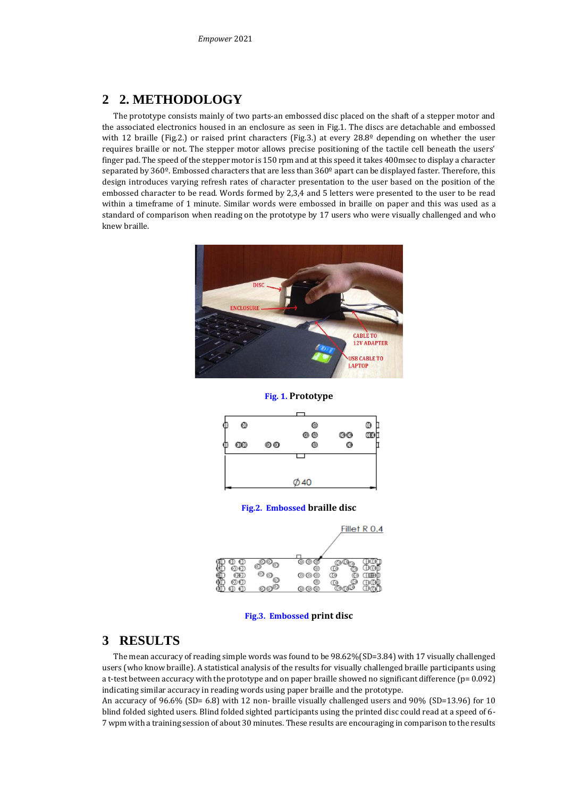### **2 2. METHODOLOGY**

The prototype consists mainly of two parts-an embossed disc placed on the shaft of a stepper motor and the associated electronics housed in an enclosure as seen in Fig.1. The discs are detachable and embossed with 12 braille (Fig.2.) or raised print characters (Fig.3.) at every 28.8<sup>°</sup> depending on whether the user requires braille or not. The stepper motor allows precise positioning of the tactile cell beneath the users' finger pad. The speed of the stepper motor is 150 rpm and at this speed it takes 400msec to display a character separated by 360º. Embossed characters that are less than 360º apart can be displayed faster. Therefore, this design introduces varying refresh rates of character presentation to the user based on the position of the embossed character to be read. Words formed by 2,3,4 and 5 letters were presented to the user to be read within a timeframe of 1 minute. Similar words were embossed in braille on paper and this was used as a standard of comparison when reading on the prototype by 17 users who were visually challenged and who knew braille.



**Fig. 1. Prototype** 



**Fig.2. Embossed braille disc**



**Fig.3. Embossed print disc**

### **3 RESULTS**

The mean accuracy of reading simple words was found to be 98.62%(SD=3.84) with 17 visually challenged users (who know braille). A statistical analysis of the results for visually challenged braille participants using a t-test between accuracy with the prototype and on paper braille showed no significant difference ( $p= 0.092$ ) indicating similar accuracy in reading words using paper braille and the prototype.

An accuracy of 96.6% (SD= 6.8) with 12 non- braille visually challenged users and 90% (SD=13.96) for 10 blind folded sighted users. Blind folded sighted participants using the printed disc could read at a speed of 6- 7 wpm with a training session of about 30 minutes. These results are encouraging in comparison to the results